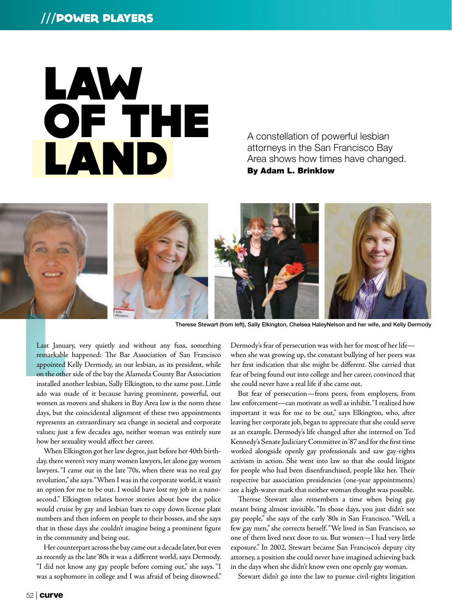# ///POWER Players



A constellation of powerful lesbian attorneys in the San Francisco Bay Area shows how times have changed.

By Adam L. Brinklow



Therese Stewart (from left), Sally Elkington, Chelsea HaleyNelson and her wife, and Kelly Dermody

Last Janus<br>
remarkable<br>
appointed<br>
on the other<br>
installed and Last January, very quietly and without any fuss, something remarkable happened: The Bar Association of San Francisco appointed Kelly Dermody, an out lesbian, as its president, while on the other side of the bay the Alameda County Bar Association installed another lesbian, Sally Elkington, to the same post. Little ado was made of it because having prominent, powerful, out women as movers and shakers in Bay Area law is the norm these days, but the coincidental alignment of these two appointments represents an extraordinary sea change in societal and corporate values; just a few decades ago, neither woman was entirely sure how her sexuality would affect her career.

When Elkington got her law degree, just before her 40th birthday, there weren't very many women lawyers, let alone gay women lawyers. "I came out in the late '70s, when there was no real gay revolution," she says. "When I was in the corporate world, it wasn't an option for me to be out. I would have lost my job in a nanosecond." Elkington relates horror stories about how the police would cruise by gay and lesbian bars to copy down license plate numbers and then inform on people to their bosses, and she says that in those days she couldn't imagine being a prominent figure in the community and being out.

Her counterpart across the bay came out a decade later, but even as recently as the late '80s it was a different world, says Dermody. "I did not know any gay people before coming out," she says. "I was a sophomore in college and I was afraid of being disowned." Dermody's fear of persecution was with her for most of her life when she was growing up, the constant bullying of her peers was her first indication that she might be different. She carried that fear of being found out into college and her career, convinced that she could never have a real life if she came out.

But fear of persecution—from peers, from employers, from law enforcement—can motivate as well as inhibit. "I realized how important it was for me to be out," says Elkington, who, after leaving her corporate job, began to appreciate that she could serve as an example. Dermody's life changed after she interned on Ted Kennedy's Senate Judiciary Committee in '87 and for the first time worked alongside openly gay professionals and saw gay-rights activism in action. She went into law so that she could litigate for people who had been disenfranchised, people like her. Their respective bar association presidencies (one-year appointments) are a high-water mark that neither woman thought was possible.

Therese Stewart also remembers a time when being gay meant being almost invisible. "In those days, you just didn't see gay people," she says of the early '80s in San Francisco. "Well, a few gay men," she corrects herself. "We lived in San Francisco, so one of them lived next door to us. But women—I had very little exposure." In 2002, Stewart became San Francisco's deputy city attorney, a position she could never have imagined achieving back in the days when she didn't know even one openly gay woman.

Stewart didn't go into the law to pursue civil-rights litigation